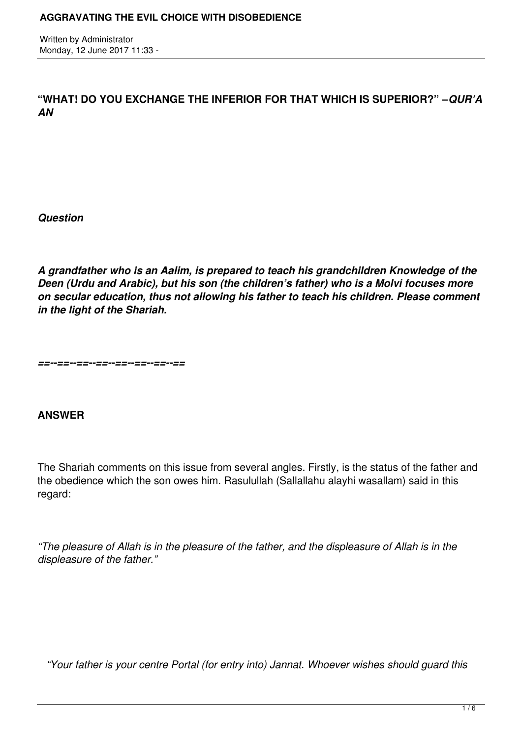Written by Administrator Monday, 12 June 2017 11:33 -

**"WHAT! DO YOU EXCHANGE THE INFERIOR FOR THAT WHICH IS SUPERIOR?" –***QUR'A AN*

*Question*

*A grandfather who is an Aalim, is prepared to teach his grandchildren Knowledge of the Deen (Urdu and Arabic), but his son (the children's father) who is a Molvi focuses more on secular education, thus not allowing his father to teach his children. Please comment in the light of the Shariah.*

*==--==--==--==--==--==--==--==*

# **ANSWER**

The Shariah comments on this issue from several angles. Firstly, is the status of the father and the obedience which the son owes him. Rasulullah (Sallallahu alayhi wasallam) said in this regard:

*"The pleasure of Allah is in the pleasure of the father, and the displeasure of Allah is in the displeasure of the father."*

 *"Your father is your centre Portal (for entry into) Jannat. Whoever wishes should guard this*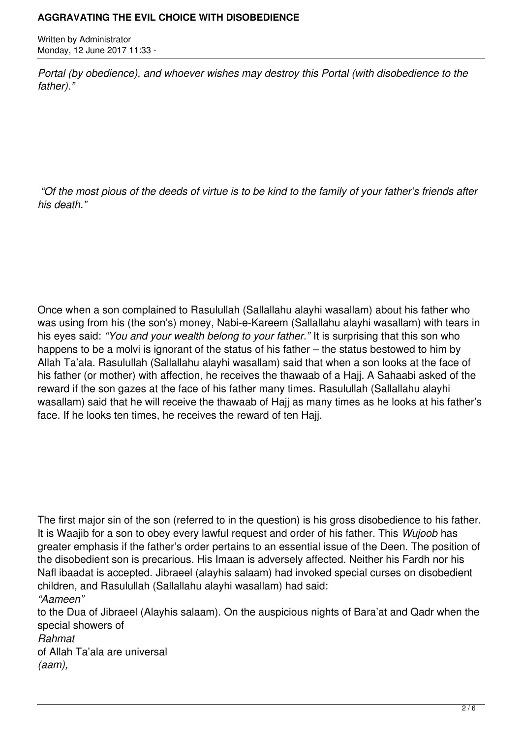Written by Administrator Monday, 12 June 2017 11:33 -

*Portal (by obedience), and whoever wishes may destroy this Portal (with disobedience to the father)."*

 *"Of the most pious of the deeds of virtue is to be kind to the family of your father's friends after his death."*

Once when a son complained to Rasulullah (Sallallahu alayhi wasallam) about his father who was using from his (the son's) money, Nabi-e-Kareem (Sallallahu alayhi wasallam) with tears in his eyes said: *"You and your wealth belong to your father."* It is surprising that this son who happens to be a molvi is ignorant of the status of his father – the status bestowed to him by Allah Ta'ala. Rasulullah (Sallallahu alayhi wasallam) said that when a son looks at the face of his father (or mother) with affection, he receives the thawaab of a Hajj. A Sahaabi asked of the reward if the son gazes at the face of his father many times. Rasulullah (Sallallahu alayhi wasallam) said that he will receive the thawaab of Hajj as many times as he looks at his father's face. If he looks ten times, he receives the reward of ten Hajj.

The first major sin of the son (referred to in the question) is his gross disobedience to his father. It is Waajib for a son to obey every lawful request and order of his father. This *Wujoob* has greater emphasis if the father's order pertains to an essential issue of the Deen. The position of the disobedient son is precarious. His Imaan is adversely affected. Neither his Fardh nor his Nafl ibaadat is accepted. Jibraeel (alayhis salaam) had invoked special curses on disobedient children, and Rasulullah (Sallallahu alayhi wasallam) had said: *"Aameen"*

to the Dua of Jibraeel (Alayhis salaam). On the auspicious nights of Bara'at and Qadr when the special showers of *Rahmat* of Allah Ta'ala are universal *(aam),*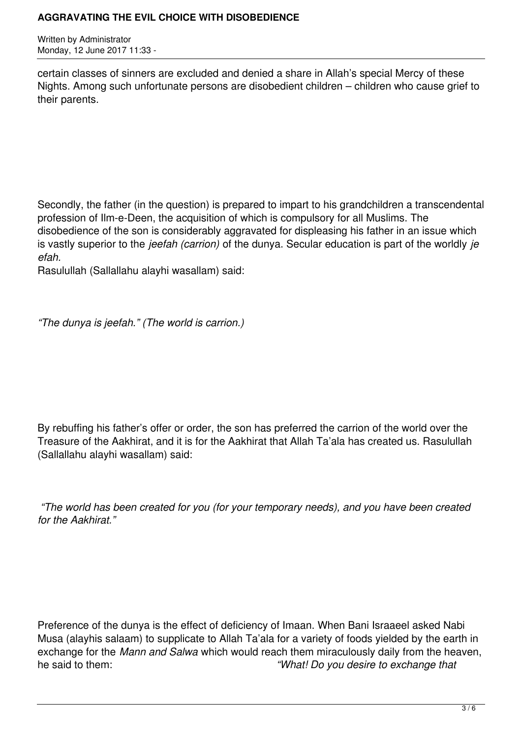Written by Administrator Monday, 12 June 2017 11:33 -

certain classes of sinners are excluded and denied a share in Allah's special Mercy of these Nights. Among such unfortunate persons are disobedient children – children who cause grief to their parents.

Secondly, the father (in the question) is prepared to impart to his grandchildren a transcendental profession of Ilm-e-Deen, the acquisition of which is compulsory for all Muslims. The disobedience of the son is considerably aggravated for displeasing his father in an issue which is vastly superior to the *jeefah (carrion)* of the dunya. Secular education is part of the worldly *je efah.* 

Rasulullah (Sallallahu alayhi wasallam) said:

*"The dunya is jeefah." (The world is carrion.)*

By rebuffing his father's offer or order, the son has preferred the carrion of the world over the Treasure of the Aakhirat, and it is for the Aakhirat that Allah Ta'ala has created us. Rasulullah (Sallallahu alayhi wasallam) said:

 *"The world has been created for you (for your temporary needs), and you have been created for the Aakhirat."*

Preference of the dunya is the effect of deficiency of Imaan. When Bani Israaeel asked Nabi Musa (alayhis salaam) to supplicate to Allah Ta'ala for a variety of foods yielded by the earth in exchange for the *Mann and Salwa* which would reach them miraculously daily from the heaven, he said to them: *"What! Do you desire to exchange that*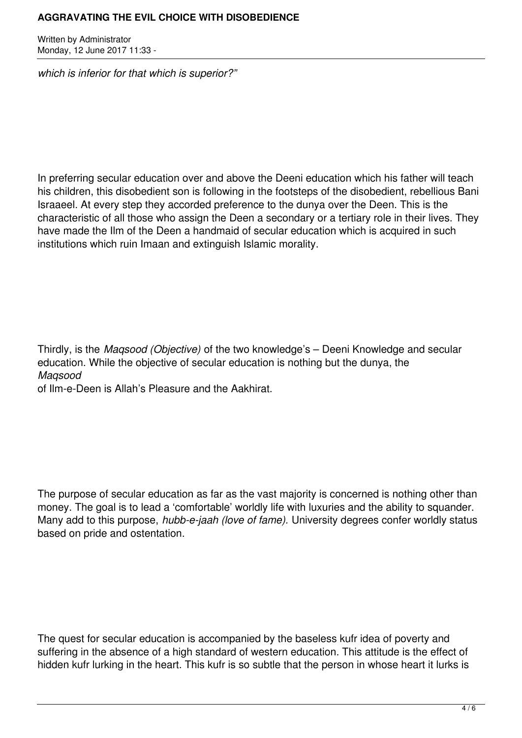Written by Administrator Monday, 12 June 2017 11:33 -

*which is inferior for that which is superior?"*

In preferring secular education over and above the Deeni education which his father will teach his children, this disobedient son is following in the footsteps of the disobedient, rebellious Bani Israaeel. At every step they accorded preference to the dunya over the Deen. This is the characteristic of all those who assign the Deen a secondary or a tertiary role in their lives. They have made the Ilm of the Deen a handmaid of secular education which is acquired in such institutions which ruin Imaan and extinguish Islamic morality.

Thirdly, is the *Maqsood (Objective)* of the two knowledge's – Deeni Knowledge and secular education. While the objective of secular education is nothing but the dunya, the *Maqsood* 

of Ilm-e-Deen is Allah's Pleasure and the Aakhirat.

The purpose of secular education as far as the vast majority is concerned is nothing other than money. The goal is to lead a 'comfortable' worldly life with luxuries and the ability to squander. Many add to this purpose, *hubb-e-jaah (love of fame).* University degrees confer worldly status based on pride and ostentation.

The quest for secular education is accompanied by the baseless kufr idea of poverty and suffering in the absence of a high standard of western education. This attitude is the effect of hidden kufr lurking in the heart. This kufr is so subtle that the person in whose heart it lurks is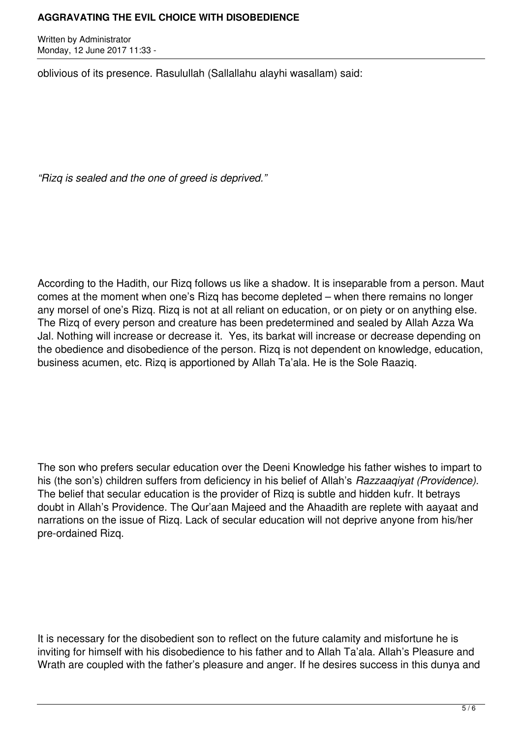Written by Administrator Monday, 12 June 2017 11:33 -

oblivious of its presence. Rasulullah (Sallallahu alayhi wasallam) said:

*"Rizq is sealed and the one of greed is deprived."*

According to the Hadith, our Rizq follows us like a shadow. It is inseparable from a person. Maut comes at the moment when one's Rizq has become depleted – when there remains no longer any morsel of one's Rizq. Rizq is not at all reliant on education, or on piety or on anything else. The Rizq of every person and creature has been predetermined and sealed by Allah Azza Wa Jal. Nothing will increase or decrease it. Yes, its barkat will increase or decrease depending on the obedience and disobedience of the person. Rizq is not dependent on knowledge, education, business acumen, etc. Rizq is apportioned by Allah Ta'ala. He is the Sole Raaziq.

The son who prefers secular education over the Deeni Knowledge his father wishes to impart to his (the son's) children suffers from deficiency in his belief of Allah's *Razzaaqiyat (Providence).* The belief that secular education is the provider of Rizq is subtle and hidden kufr. It betrays doubt in Allah's Providence. The Qur'aan Majeed and the Ahaadith are replete with aayaat and narrations on the issue of Rizq. Lack of secular education will not deprive anyone from his/her pre-ordained Rizq.

It is necessary for the disobedient son to reflect on the future calamity and misfortune he is inviting for himself with his disobedience to his father and to Allah Ta'ala. Allah's Pleasure and Wrath are coupled with the father's pleasure and anger. If he desires success in this dunya and